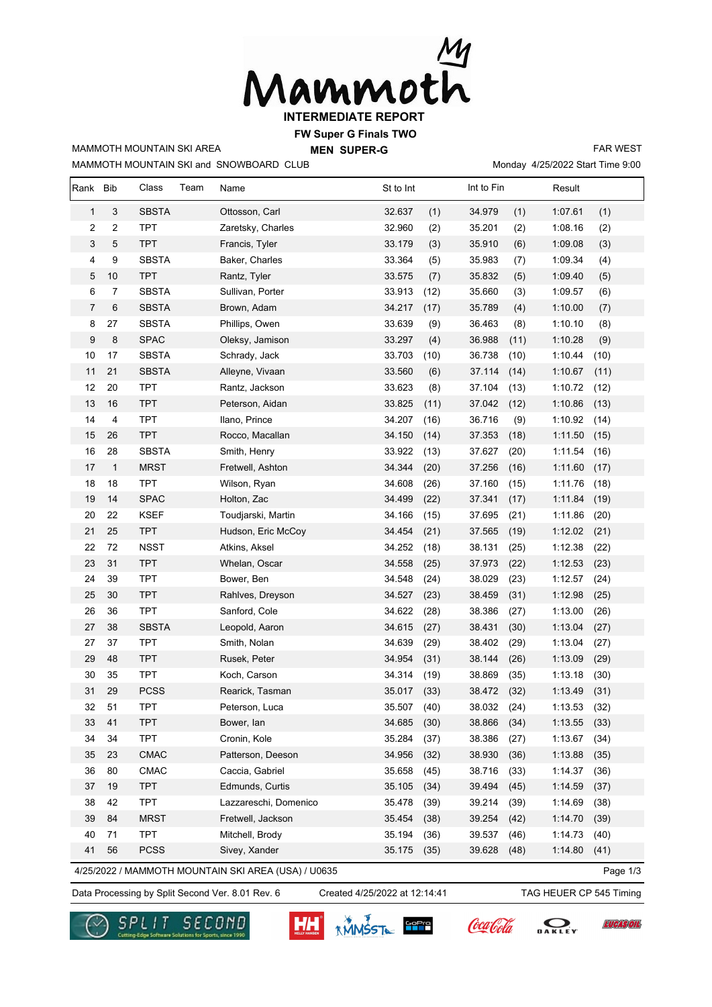

**FW Super G Finals TWO**

**MEN SUPER-G** 

MAMMOTH MOUNTAIN SKI and SNOWBOARD CLUB

MAMMOTH MOUNTAIN SKI AREA

Monday 4/25/2022 Start Time 9:00 FAR WEST

| Rank         | <b>Bib</b>       | Class        | Team | Name                                                | St to Int |      | Int to Fin |      | Result  |          |
|--------------|------------------|--------------|------|-----------------------------------------------------|-----------|------|------------|------|---------|----------|
| $\mathbf{1}$ | 3                | <b>SBSTA</b> |      | Ottosson, Carl                                      | 32.637    | (1)  | 34.979     | (1)  | 1:07.61 | (1)      |
| 2            | $\boldsymbol{2}$ | <b>TPT</b>   |      | Zaretsky, Charles                                   | 32.960    | (2)  | 35.201     | (2)  | 1:08.16 | (2)      |
| 3            | 5                | <b>TPT</b>   |      | Francis, Tyler                                      | 33.179    | (3)  | 35.910     | (6)  | 1:09.08 | (3)      |
| 4            | 9                | <b>SBSTA</b> |      | Baker, Charles                                      | 33.364    | (5)  | 35.983     | (7)  | 1:09.34 | (4)      |
| 5            | $10$             | <b>TPT</b>   |      | Rantz, Tyler                                        | 33.575    | (7)  | 35.832     | (5)  | 1:09.40 | (5)      |
| 6            | $\overline{7}$   | <b>SBSTA</b> |      | Sullivan, Porter                                    | 33.913    | (12) | 35.660     | (3)  | 1:09.57 | (6)      |
| 7            | 6                | <b>SBSTA</b> |      | Brown, Adam                                         | 34.217    | (17) | 35.789     | (4)  | 1:10.00 | (7)      |
| 8            | 27               | <b>SBSTA</b> |      | Phillips, Owen                                      | 33.639    | (9)  | 36.463     | (8)  | 1:10.10 | (8)      |
| 9            | $\bf 8$          | <b>SPAC</b>  |      | Oleksy, Jamison                                     | 33.297    | (4)  | 36.988     | (11) | 1:10.28 | (9)      |
| 10           | 17               | <b>SBSTA</b> |      | Schrady, Jack                                       | 33.703    | (10) | 36.738     | (10) | 1:10.44 | (10)     |
| 11           | 21               | <b>SBSTA</b> |      | Alleyne, Vivaan                                     | 33.560    | (6)  | 37.114     | (14) | 1:10.67 | (11)     |
| 12           | 20               | <b>TPT</b>   |      | Rantz, Jackson                                      | 33.623    | (8)  | 37.104     | (13) | 1:10.72 | (12)     |
| 13           | 16               | <b>TPT</b>   |      | Peterson, Aidan                                     | 33.825    | (11) | 37.042     | (12) | 1:10.86 | (13)     |
| 14           | 4                | <b>TPT</b>   |      | Ilano, Prince                                       | 34.207    | (16) | 36.716     | (9)  | 1:10.92 | (14)     |
| 15           | 26               | <b>TPT</b>   |      | Rocco, Macallan                                     | 34.150    | (14) | 37.353     | (18) | 1:11.50 | (15)     |
| 16           | 28               | <b>SBSTA</b> |      | Smith, Henry                                        | 33.922    | (13) | 37.627     | (20) | 1:11.54 | (16)     |
| 17           | $\mathbf{1}$     | <b>MRST</b>  |      | Fretwell, Ashton                                    | 34.344    | (20) | 37.256     | (16) | 1:11.60 | (17)     |
| 18           | 18               | <b>TPT</b>   |      | Wilson, Ryan                                        | 34.608    | (26) | 37.160     | (15) | 1:11.76 | (18)     |
| 19           | 14               | <b>SPAC</b>  |      | Holton, Zac                                         | 34.499    | (22) | 37.341     | (17) | 1:11.84 | (19)     |
| 20           | 22               | <b>KSEF</b>  |      | Toudjarski, Martin                                  | 34.166    | (15) | 37.695     | (21) | 1:11.86 | (20)     |
| 21           | 25               | <b>TPT</b>   |      | Hudson, Eric McCoy                                  | 34.454    | (21) | 37.565     | (19) | 1:12.02 | (21)     |
| 22           | 72               | <b>NSST</b>  |      | Atkins, Aksel                                       | 34.252    | (18) | 38.131     | (25) | 1:12.38 | (22)     |
| 23           | 31               | <b>TPT</b>   |      | Whelan, Oscar                                       | 34.558    | (25) | 37.973     | (22) | 1:12.53 | (23)     |
| 24           | 39               | <b>TPT</b>   |      | Bower, Ben                                          | 34.548    | (24) | 38.029     | (23) | 1:12.57 | (24)     |
| 25           | 30               | <b>TPT</b>   |      | Rahlves, Dreyson                                    | 34.527    | (23) | 38.459     | (31) | 1:12.98 | (25)     |
| 26           | 36               | <b>TPT</b>   |      | Sanford, Cole                                       | 34.622    | (28) | 38.386     | (27) | 1:13.00 | (26)     |
| 27           | 38               | <b>SBSTA</b> |      | Leopold, Aaron                                      | 34.615    | (27) | 38.431     | (30) | 1:13.04 | (27)     |
| 27           | 37               | <b>TPT</b>   |      | Smith, Nolan                                        | 34.639    | (29) | 38.402     | (29) | 1:13.04 | (27)     |
| 29           | 48               | <b>TPT</b>   |      | Rusek, Peter                                        | 34.954    | (31) | 38.144     | (26) | 1:13.09 | (29)     |
| 30           | 35               | <b>TPT</b>   |      | Koch, Carson                                        | 34.314    | (19) | 38.869     | (35) | 1:13.18 | (30)     |
| 31           | 29               | <b>PCSS</b>  |      | Rearick, Tasman                                     | 35.017    | (33) | 38.472     | (32) | 1:13.49 | (31)     |
| 32           | 51               | <b>TPT</b>   |      | Peterson, Luca                                      | 35.507    | (40) | 38.032     | (24) | 1:13.53 | (32)     |
| 33           | 41               | <b>TPT</b>   |      | Bower, lan                                          | 34.685    | (30) | 38.866     | (34) | 1:13.55 | (33)     |
| 34           | 34               | <b>TPT</b>   |      | Cronin, Kole                                        | 35.284    | (37) | 38.386     | (27) | 1:13.67 | (34)     |
| 35           | 23               | CMAC         |      | Patterson, Deeson                                   | 34.956    | (32) | 38.930     | (36) | 1:13.88 | (35)     |
| 36           | 80               | ${\sf CMAC}$ |      | Caccia, Gabriel                                     | 35.658    | (45) | 38.716     | (33) | 1:14.37 | (36)     |
| 37           | 19               | <b>TPT</b>   |      | Edmunds, Curtis                                     | 35.105    | (34) | 39.494     | (45) | 1:14.59 | (37)     |
| 38           | 42               | <b>TPT</b>   |      | Lazzareschi, Domenico                               | 35.478    | (39) | 39.214     | (39) | 1:14.69 | (38)     |
| 39           | 84               | <b>MRST</b>  |      | Fretwell, Jackson                                   | 35.454    | (38) | 39.254     | (42) | 1:14.70 | (39)     |
| 40           | 71               | <b>TPT</b>   |      | Mitchell, Brody                                     | 35.194    | (36) | 39.537     | (46) | 1:14.73 | (40)     |
| 41           | 56               | <b>PCSS</b>  |      | Sivey, Xander                                       | 35.175    | (35) | 39.628     | (48) | 1:14.80 | (41)     |
|              |                  |              |      | 4/25/2022 / MAMMOTH MOUNTAIN SKI AREA (USA) / U0635 |           |      |            |      |         | Page 1/3 |

Data Processing by Split Second Ver. 8.01 Rev. 6 Created 4/25/2022 at 12:14:41 TAG HEUER CP 545 Timing

SECOND

Created 4/25/2022 at 12:14:41

**AMMSST SPPP** 

**TUCASOT** 

DAKLEY

Coca Cola

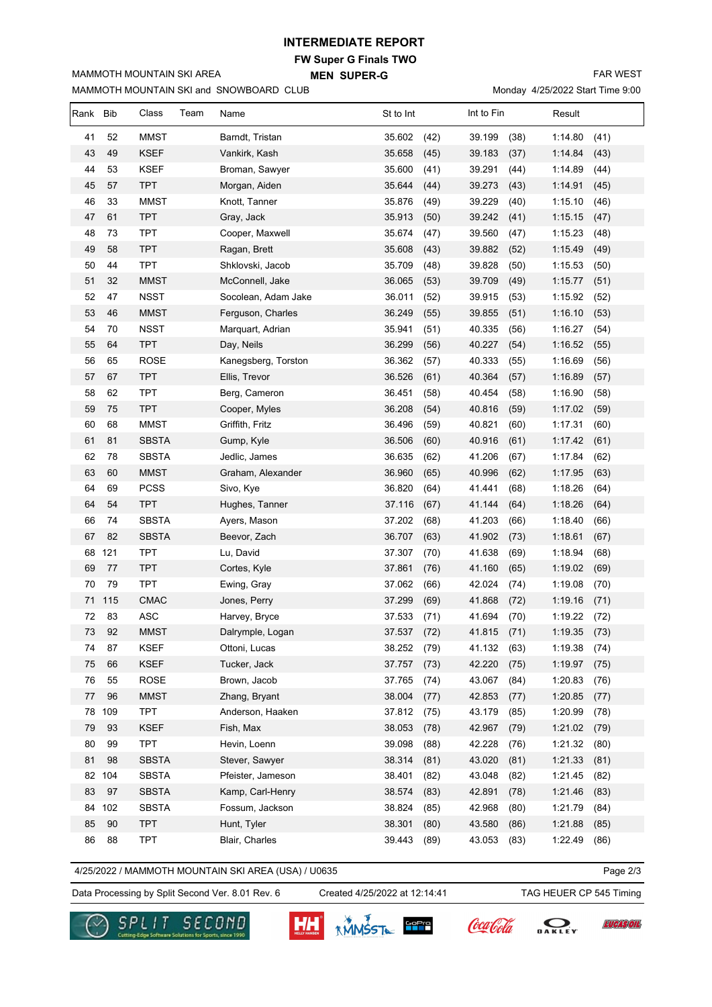## **INTERMEDIATE REPORT**

**FW Super G Finals TWO MEN SUPER-G** 

MAMMOTH MOUNTAIN SKI and SNOWBOARD CLUB

MAMMOTH MOUNTAIN SKI AREA

FAR WEST

Monday 4/25/2022 Start Time 9:00

| Rank Bib |     | Class<br>Team | Name                | St to Int      | Int to Fin     | Result          |
|----------|-----|---------------|---------------------|----------------|----------------|-----------------|
| 41       | 52  | <b>MMST</b>   | Barndt, Tristan     | (42)<br>35.602 | 39.199<br>(38) | (41)<br>1:14.80 |
| 43       | 49  | <b>KSEF</b>   | Vankirk, Kash       | 35.658<br>(45) | 39.183<br>(37) | (43)<br>1:14.84 |
| 44       | 53  | <b>KSEF</b>   | Broman, Sawyer      | 35.600<br>(41) | 39.291<br>(44) | 1:14.89<br>(44) |
| 45       | 57  | <b>TPT</b>    | Morgan, Aiden       | 35.644<br>(44) | 39.273<br>(43) | 1:14.91<br>(45) |
| 46       | 33  | <b>MMST</b>   | Knott, Tanner       | 35.876<br>(49) | 39.229<br>(40) | 1:15.10<br>(46) |
| 47       | 61  | <b>TPT</b>    | Gray, Jack          | 35.913<br>(50) | 39.242<br>(41) | 1:15.15<br>(47) |
| 48       | 73  | <b>TPT</b>    | Cooper, Maxwell     | 35.674<br>(47) | 39.560<br>(47) | 1:15.23<br>(48) |
| 49       | 58  | <b>TPT</b>    | Ragan, Brett        | 35.608<br>(43) | 39.882<br>(52) | (49)<br>1:15.49 |
| 50       | 44  | <b>TPT</b>    | Shklovski, Jacob    | (48)<br>35.709 | 39.828<br>(50) | (50)<br>1:15.53 |
| 51       | 32  | <b>MMST</b>   | McConnell, Jake     | 36.065<br>(53) | 39.709<br>(49) | 1:15.77<br>(51) |
| 52       | 47  | <b>NSST</b>   | Socolean, Adam Jake | 36.011<br>(52) | 39.915<br>(53) | 1:15.92<br>(52) |
| 53       | 46  | <b>MMST</b>   | Ferguson, Charles   | 36.249<br>(55) | 39.855<br>(51) | 1:16.10<br>(53) |
| 54       | 70  | <b>NSST</b>   | Marquart, Adrian    | 35.941<br>(51) | 40.335<br>(56) | 1:16.27<br>(54) |
| 55       | 64  | <b>TPT</b>    | Day, Neils          | 36.299<br>(56) | 40.227<br>(54) | 1:16.52<br>(55) |
| 56       | 65  | <b>ROSE</b>   | Kanegsberg, Torston | 36.362<br>(57) | 40.333<br>(55) | 1:16.69<br>(56) |
| 57       | 67  | <b>TPT</b>    | Ellis, Trevor       | 36.526<br>(61) | 40.364<br>(57) | 1:16.89<br>(57) |
| 58       | 62  | <b>TPT</b>    | Berg, Cameron       | 36.451<br>(58) | 40.454<br>(58) | 1:16.90<br>(58) |
| 59       | 75  | <b>TPT</b>    | Cooper, Myles       | 36.208<br>(54) | 40.816<br>(59) | (59)<br>1:17.02 |
| 60       | 68  | <b>MMST</b>   | Griffith, Fritz     | 36.496<br>(59) | 40.821<br>(60) | (60)<br>1:17.31 |
| 61       | 81  | <b>SBSTA</b>  | Gump, Kyle          | 36.506<br>(60) | 40.916<br>(61) | (61)<br>1:17.42 |
| 62       | 78  | <b>SBSTA</b>  | Jedlic, James       | 36.635<br>(62) | 41.206<br>(67) | 1:17.84<br>(62) |
| 63       | 60  | <b>MMST</b>   | Graham, Alexander   | 36.960<br>(65) | 40.996<br>(62) | 1:17.95<br>(63) |
| 64       | 69  | <b>PCSS</b>   | Sivo, Kye           | 36.820<br>(64) | 41.441<br>(68) | 1:18.26<br>(64) |
| 64       | 54  | <b>TPT</b>    | Hughes, Tanner      | 37.116<br>(67) | 41.144<br>(64) | 1:18.26<br>(64) |
| 66       | 74  | <b>SBSTA</b>  | Ayers, Mason        | 37.202<br>(68) | 41.203<br>(66) | 1:18.40<br>(66) |
| 67       | 82  | <b>SBSTA</b>  | Beevor, Zach        | 36.707<br>(63) | 41.902<br>(73) | (67)<br>1:18.61 |
| 68       | 121 | <b>TPT</b>    | Lu, David           | 37.307<br>(70) | 41.638<br>(69) | 1:18.94<br>(68) |
| 69       | 77  | <b>TPT</b>    | Cortes, Kyle        | 37.861<br>(76) | 41.160<br>(65) | (69)<br>1:19.02 |
| 70       | 79  | <b>TPT</b>    | Ewing, Gray         | 37.062<br>(66) | 42.024<br>(74) | 1:19.08<br>(70) |
| 71       | 115 | <b>CMAC</b>   | Jones, Perry        | 37.299<br>(69) | 41.868<br>(72) | 1:19.16<br>(71) |
| 72       | 83  | ASC           | Harvey, Bryce       | 37.533<br>(71) | 41.694<br>(70) | 1:19.22<br>(72) |
| 73       | 92  | <b>MMST</b>   | Dalrymple, Logan    | 37.537<br>(72) | 41.815<br>(71) | 1:19.35<br>(73) |
| 74       | 87  | KSEF          | Ottoni, Lucas       | 38.252<br>(79) | 41.132<br>(63) | 1:19.38<br>(74) |
| 75       | 66  | <b>KSEF</b>   | Tucker, Jack        | 37.757<br>(73) | 42.220<br>(75) | 1:19.97<br>(75) |
| 76       | 55  | ROSE          | Brown, Jacob        | 37.765<br>(74) | 43.067<br>(84) | 1:20.83<br>(76) |
| 77       | 96  | <b>MMST</b>   | Zhang, Bryant       | 38.004<br>(77) | 42.853<br>(77) | 1:20.85<br>(77) |
| 78       | 109 | <b>TPT</b>    | Anderson, Haaken    | 37.812<br>(75) | 43.179<br>(85) | 1:20.99<br>(78) |
| 79       | 93  | KSEF          | Fish, Max           | 38.053<br>(78) | 42.967<br>(79) | 1:21.02<br>(79) |
| 80       | 99  | <b>TPT</b>    | Hevin, Loenn        | 39.098<br>(88) | 42.228<br>(76) | (80)<br>1:21.32 |
| 81       | 98  | <b>SBSTA</b>  | Stever, Sawyer      | 38.314<br>(81) | 43.020<br>(81) | 1:21.33<br>(81) |
| 82       | 104 | <b>SBSTA</b>  | Pfeister, Jameson   | 38.401<br>(82) | 43.048<br>(82) | (82)<br>1:21.45 |
| 83       | 97  | <b>SBSTA</b>  | Kamp, Carl-Henry    | 38.574<br>(83) | 42.891<br>(78) | 1:21.46<br>(83) |
| 84       | 102 | <b>SBSTA</b>  | Fossum, Jackson     | 38.824<br>(85) | 42.968<br>(80) | 1:21.79<br>(84) |
| 85       | 90  | <b>TPT</b>    | Hunt, Tyler         | 38.301<br>(80) | 43.580<br>(86) | (85)<br>1:21.88 |
| 86       | 88  | <b>TPT</b>    | Blair, Charles      | 39.443<br>(89) | 43.053<br>(83) | 1:22.49<br>(86) |

4/25/2022 / MAMMOTH MOUNTAIN SKI AREA (USA) / U0635

Page 2/3

**LUCAS OIL** 

Data Processing by Split Second Ver. 8.01 Rev. 6 Created 4/25/2022 at 12:14:41 TAG HEUER CP 545 Timing

Created 4/25/2022 at 12:14:41



SECOND <u>G/H</u>